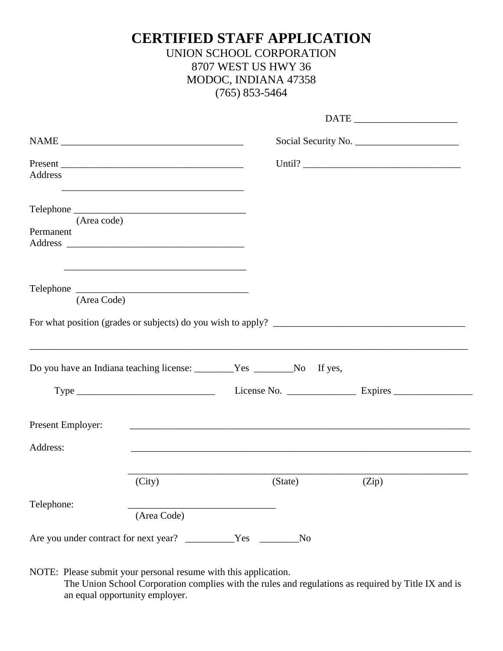**CERTIFIED STAFF APPLICATION**  UNION SCHOOL CORPORATION 8707 WEST US HWY 36 MODOC, INDIANA 47358 (765) 853-5464

|                                       |             |                                                                                                                                                                       | $\begin{tabular}{ c c c } \hline \multicolumn{3}{ c }{\text{DATE}} \hspace{1.5cm} & \multicolumn{3}{ c }{\text{DATE}} \hspace{1.5cm} & \multicolumn{3}{ c }{\text{DATE}} \hspace{1.5cm} & \multicolumn{3}{ c }{\text{DATE}} \hspace{1.5cm} & \multicolumn{3}{ c }{\text{DATE}} \hspace{1.5cm} & \multicolumn{3}{ c }{\text{DATE}} \hspace{1.5cm} & \multicolumn{3}{ c }{\text{DATE}} \hspace{1.5cm} & \multicolumn{3}{ c }{\text{$ |  |  |  |
|---------------------------------------|-------------|-----------------------------------------------------------------------------------------------------------------------------------------------------------------------|------------------------------------------------------------------------------------------------------------------------------------------------------------------------------------------------------------------------------------------------------------------------------------------------------------------------------------------------------------------------------------------------------------------------------------|--|--|--|
|                                       |             |                                                                                                                                                                       | Social Security No.                                                                                                                                                                                                                                                                                                                                                                                                                |  |  |  |
| Address                               |             |                                                                                                                                                                       |                                                                                                                                                                                                                                                                                                                                                                                                                                    |  |  |  |
| (Area code)<br>Permanent              | Telephone   |                                                                                                                                                                       |                                                                                                                                                                                                                                                                                                                                                                                                                                    |  |  |  |
| (Area Code)                           |             |                                                                                                                                                                       |                                                                                                                                                                                                                                                                                                                                                                                                                                    |  |  |  |
|                                       |             | Do you have an Indiana teaching license: ________Yes _______No If yes,                                                                                                |                                                                                                                                                                                                                                                                                                                                                                                                                                    |  |  |  |
|                                       |             |                                                                                                                                                                       |                                                                                                                                                                                                                                                                                                                                                                                                                                    |  |  |  |
| Present Employer:<br>Address:         |             | ,我们也不能在这里的人,我们也不能在这里的人,我们也不能在这里的人,我们也不能在这里的人,我们也不能在这里的人,我们也不能在这里的人,我们也不能在这里的人,我们也<br>,我们也不能在这里的时候,我们也不能在这里的时候,我们也不能会在这里的时候,我们也不能会在这里的时候,我们也不能会在这里的时候,我们也不能会在这里的时候,我们也 |                                                                                                                                                                                                                                                                                                                                                                                                                                    |  |  |  |
|                                       | (City)      | (State)                                                                                                                                                               | (Zip)                                                                                                                                                                                                                                                                                                                                                                                                                              |  |  |  |
| Telephone:                            | (Area Code) |                                                                                                                                                                       |                                                                                                                                                                                                                                                                                                                                                                                                                                    |  |  |  |
| Are you under contract for next year? |             | Yes<br>No                                                                                                                                                             |                                                                                                                                                                                                                                                                                                                                                                                                                                    |  |  |  |

NOTE: Please submit your personal resume with this application. The Union School Corporation complies with the rules and regulations as required by Title IX and is an equal opportunity employer.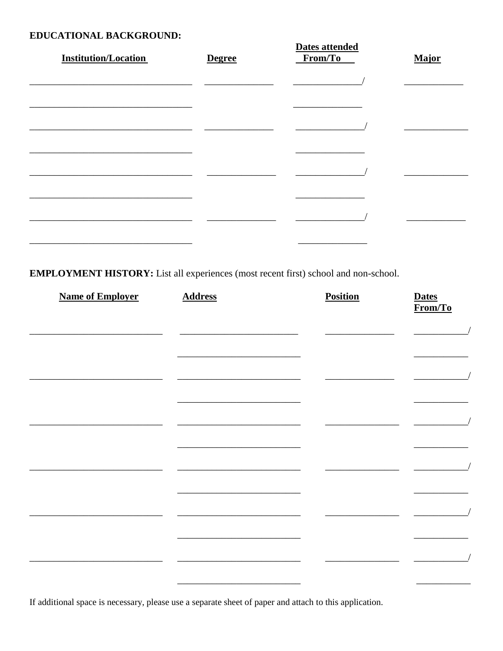## EDUCATIONAL BACKGROUND:

| <b>Institution/Location</b> | <b>Degree</b> | Dates attended<br>From/To | Major |
|-----------------------------|---------------|---------------------------|-------|
|                             |               |                           |       |
|                             |               |                           |       |
|                             |               |                           |       |
|                             |               |                           |       |
|                             |               |                           |       |
|                             |               |                           |       |

EMPLOYMENT HISTORY: List all experiences (most recent first) school and non-school.

| <b>Name of Employer</b> | <b>Address</b> | <b>Position</b> | <b>Dates</b><br>From/To |
|-------------------------|----------------|-----------------|-------------------------|
|                         |                |                 |                         |
|                         |                |                 |                         |
|                         |                |                 |                         |
|                         |                |                 |                         |
|                         |                |                 |                         |
|                         |                |                 |                         |
|                         |                |                 |                         |
|                         |                |                 |                         |
|                         |                |                 |                         |
|                         |                |                 |                         |
|                         |                |                 |                         |
|                         |                |                 |                         |
|                         |                |                 |                         |

If additional space is necessary, please use a separate sheet of paper and attach to this application.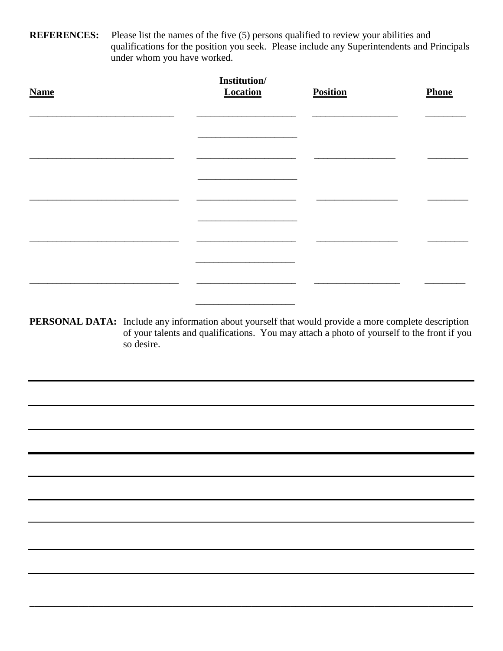**REFERENCES:** Please list the names of the five (5) persons qualified to review your abilities and qualifications for the position you seek. Please include any Superintendents and Principals under whom you have worked.

| <b>Name</b> | Institution/<br><b>Location</b> | <b>Position</b> | Phone |
|-------------|---------------------------------|-----------------|-------|
|             |                                 |                 |       |
|             |                                 |                 |       |
|             |                                 |                 |       |
|             |                                 |                 |       |
|             |                                 |                 |       |
|             |                                 |                 |       |
|             |                                 |                 |       |

**PERSONAL DATA:** Include any information about yourself that would provide a more complete description of your talents and qualifications. You may attach a photo of yourself to the front if you so desire.

\_\_\_\_\_\_\_\_\_\_\_\_\_\_\_\_\_\_\_\_\_\_\_\_\_\_\_\_\_\_\_\_\_\_\_\_\_\_\_\_\_\_\_\_\_\_\_\_\_\_\_\_\_\_\_\_\_\_\_\_\_\_\_\_\_\_\_\_\_\_\_\_\_\_\_\_\_\_\_\_\_\_\_\_\_\_\_\_\_\_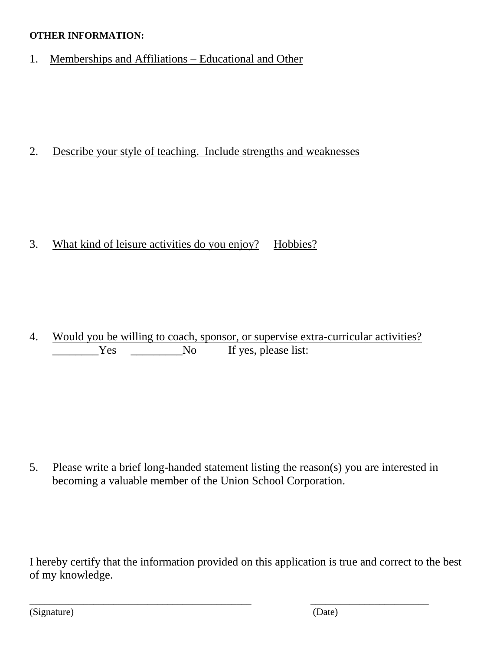## **OTHER INFORMATION:**

1. Memberships and Affiliations – Educational and Other

2. Describe your style of teaching. Include strengths and weaknesses

3. What kind of leisure activities do you enjoy? Hobbies?

4. Would you be willing to coach, sponsor, or supervise extra-curricular activities? Yes No If yes, please list:

5. Please write a brief long-handed statement listing the reason(s) you are interested in becoming a valuable member of the Union School Corporation.

I hereby certify that the information provided on this application is true and correct to the best of my knowledge.

\_\_\_\_\_\_\_\_\_\_\_\_\_\_\_\_\_\_\_\_\_\_\_\_\_\_\_\_\_\_\_\_\_\_\_\_\_\_\_\_\_\_\_\_\_ \_\_\_\_\_\_\_\_\_\_\_\_\_\_\_\_\_\_\_\_\_\_\_\_

(Signature) (Date)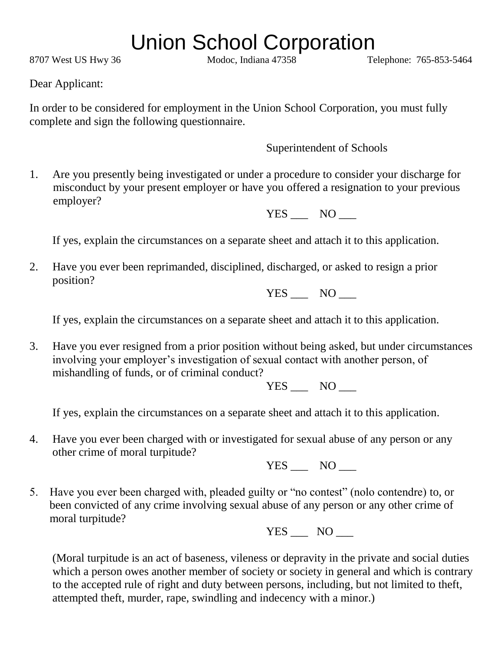## Union School Corporation

8707 West US Hwy 36 Modoc, Indiana 47358 Telephone: 765-853-5464

Dear Applicant:

In order to be considered for employment in the Union School Corporation, you must fully complete and sign the following questionnaire.

Superintendent of Schools

1. Are you presently being investigated or under a procedure to consider your discharge for misconduct by your present employer or have you offered a resignation to your previous employer?

 $YES$  NO  $\_$ 

If yes, explain the circumstances on a separate sheet and attach it to this application.

2. Have you ever been reprimanded, disciplined, discharged, or asked to resign a prior position?

YES NO

If yes, explain the circumstances on a separate sheet and attach it to this application.

3. Have you ever resigned from a prior position without being asked, but under circumstances involving your employer's investigation of sexual contact with another person, of mishandling of funds, or of criminal conduct?

YES NO

If yes, explain the circumstances on a separate sheet and attach it to this application.

4. Have you ever been charged with or investigated for sexual abuse of any person or any other crime of moral turpitude?

YES NO

5. Have you ever been charged with, pleaded guilty or "no contest" (nolo contendre) to, or been convicted of any crime involving sexual abuse of any person or any other crime of moral turpitude?

YES NO

 (Moral turpitude is an act of baseness, vileness or depravity in the private and social duties which a person owes another member of society or society in general and which is contrary to the accepted rule of right and duty between persons, including, but not limited to theft, attempted theft, murder, rape, swindling and indecency with a minor.)